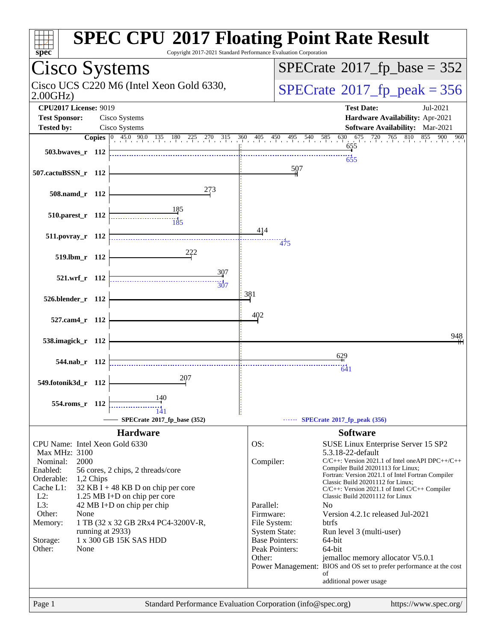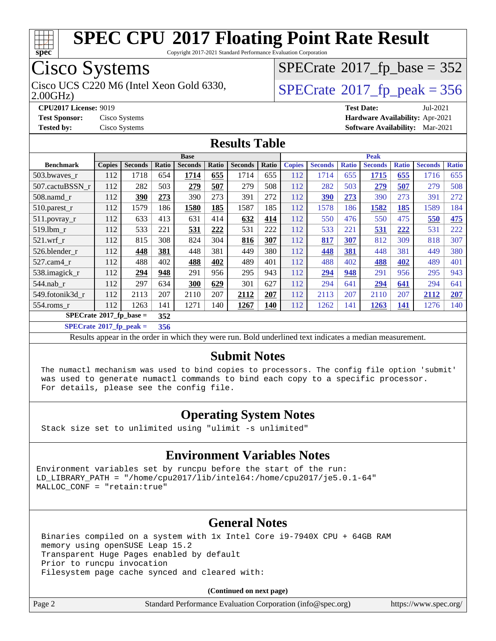

Copyright 2017-2021 Standard Performance Evaluation Corporation

### Cisco Systems

Cisco UCS C220 M6 (Intel Xeon Gold 6330,  $SPECrate@2017_fp\_peak = 356$  $SPECrate@2017_fp\_peak = 356$ 

 $SPECTate$ <sup>®</sup>[2017\\_fp\\_base =](http://www.spec.org/auto/cpu2017/Docs/result-fields.html#SPECrate2017fpbase) 352

2.00GHz)

**[CPU2017 License:](http://www.spec.org/auto/cpu2017/Docs/result-fields.html#CPU2017License)** 9019 **[Test Date:](http://www.spec.org/auto/cpu2017/Docs/result-fields.html#TestDate)** Jul-2021 **[Test Sponsor:](http://www.spec.org/auto/cpu2017/Docs/result-fields.html#TestSponsor)** Cisco Systems **[Hardware Availability:](http://www.spec.org/auto/cpu2017/Docs/result-fields.html#HardwareAvailability)** Apr-2021 **[Tested by:](http://www.spec.org/auto/cpu2017/Docs/result-fields.html#Testedby)** Cisco Systems **[Software Availability:](http://www.spec.org/auto/cpu2017/Docs/result-fields.html#SoftwareAvailability)** Mar-2021

#### **[Results Table](http://www.spec.org/auto/cpu2017/Docs/result-fields.html#ResultsTable)**

|                                    | <b>Base</b>   |                |              | <b>Peak</b>    |       |                |       |               |                |              |                |              |                |              |
|------------------------------------|---------------|----------------|--------------|----------------|-------|----------------|-------|---------------|----------------|--------------|----------------|--------------|----------------|--------------|
| <b>Benchmark</b>                   | <b>Copies</b> | <b>Seconds</b> | <b>Ratio</b> | <b>Seconds</b> | Ratio | <b>Seconds</b> | Ratio | <b>Copies</b> | <b>Seconds</b> | <b>Ratio</b> | <b>Seconds</b> | <b>Ratio</b> | <b>Seconds</b> | <b>Ratio</b> |
| 503.bwaves_r                       | 112           | 1718           | 654          | 1714           | 655   | 1714           | 655   | 112           | 1714           | 655          | 1715           | 655          | 1716           | 655          |
| 507.cactuBSSN r                    | 112           | 282            | 503          | 279            | 507   | 279            | 508   | 112           | 282            | 503          | 279            | 507          | 279            | 508          |
| $508$ .namd $r$                    | 112           | 390            | 273          | 390            | 273   | 391            | 272   | 112           | 390            | 273          | 390            | 273          | 391            | 272          |
| 510.parest_r                       | 112           | 1579           | 186          | 1580           | 185   | 1587           | 185   | 112           | 1578           | 186          | 1582           | 185          | 1589           | 184          |
| $511.$ povray_r                    | 112           | 633            | 413          | 631            | 414   | 632            | 414   | 112           | 550            | 476          | 550            | 475          | 550            | 475          |
| 519.1bm r                          | 112           | 533            | 221          | 531            | 222   | 531            | 222   | 112           | 533            | 221          | 531            | 222          | 531            | 222          |
| 521.wrf                            | 112           | 815            | 308          | 824            | 304   | 816            | 307   | 112           | 817            | 307          | 812            | 309          | 818            | 307          |
| 526.blender r                      | 112           | 448            | 381          | 448            | 381   | 449            | 380   | 112           | 448            | 381          | 448            | 381          | 449            | 380          |
| $527$ .cam $4$ r                   | 112           | 488            | 402          | 488            | 402   | 489            | 401   | 112           | 488            | 402          | 488            | 402          | 489            | 401          |
| 538.imagick_r                      | 112           | 294            | 948          | 291            | 956   | 295            | 943   | 112           | 294            | 948          | 291            | 956          | 295            | 943          |
| $544$ .nab r                       | 112           | 297            | 634          | 300            | 629   | 301            | 627   | 112           | 294            | 641          | 294            | 641          | 294            | 641          |
| 549.fotonik3d r                    | 112           | 2113           | 207          | 2110           | 207   | 2112           | 207   | 112           | 2113           | 207          | 2110           | 207          | 2112           | 207          |
| 554.roms r                         | 112           | 1263           | 141          | 1271           | 140   | 1267           | 140   | 112           | 1262           | 141          | 1263           | 141          | 1276           | 140          |
| $SPECrate^{\otimes}2017$ fp base = |               |                | 352          |                |       |                |       |               |                |              |                |              |                |              |

**[SPECrate](http://www.spec.org/auto/cpu2017/Docs/result-fields.html#SPECrate2017fppeak)[2017\\_fp\\_peak =](http://www.spec.org/auto/cpu2017/Docs/result-fields.html#SPECrate2017fppeak) 356**

Results appear in the [order in which they were run](http://www.spec.org/auto/cpu2017/Docs/result-fields.html#RunOrder). Bold underlined text [indicates a median measurement](http://www.spec.org/auto/cpu2017/Docs/result-fields.html#Median).

#### **[Submit Notes](http://www.spec.org/auto/cpu2017/Docs/result-fields.html#SubmitNotes)**

 The numactl mechanism was used to bind copies to processors. The config file option 'submit' was used to generate numactl commands to bind each copy to a specific processor. For details, please see the config file.

#### **[Operating System Notes](http://www.spec.org/auto/cpu2017/Docs/result-fields.html#OperatingSystemNotes)**

Stack size set to unlimited using "ulimit -s unlimited"

#### **[Environment Variables Notes](http://www.spec.org/auto/cpu2017/Docs/result-fields.html#EnvironmentVariablesNotes)**

Environment variables set by runcpu before the start of the run: LD LIBRARY PATH = "/home/cpu2017/lib/intel64:/home/cpu2017/je5.0.1-64" MALLOC\_CONF = "retain:true"

#### **[General Notes](http://www.spec.org/auto/cpu2017/Docs/result-fields.html#GeneralNotes)**

 Binaries compiled on a system with 1x Intel Core i9-7940X CPU + 64GB RAM memory using openSUSE Leap 15.2 Transparent Huge Pages enabled by default Prior to runcpu invocation Filesystem page cache synced and cleared with:

**(Continued on next page)**

Page 2 Standard Performance Evaluation Corporation [\(info@spec.org\)](mailto:info@spec.org) <https://www.spec.org/>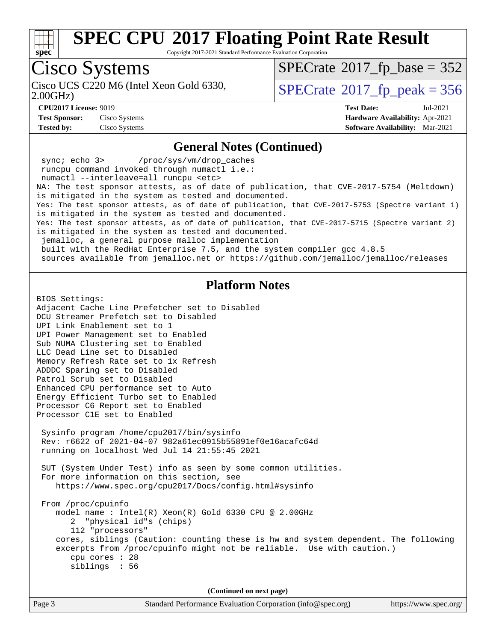

Copyright 2017-2021 Standard Performance Evaluation Corporation

## Cisco Systems

2.00GHz)

 $SPECTate$ <sup>®</sup>[2017\\_fp\\_base =](http://www.spec.org/auto/cpu2017/Docs/result-fields.html#SPECrate2017fpbase) 352

Cisco UCS C220 M6 (Intel Xeon Gold 6330,  $SPECrate@2017_fp\_peak = 356$  $SPECrate@2017_fp\_peak = 356$ 

**[Test Sponsor:](http://www.spec.org/auto/cpu2017/Docs/result-fields.html#TestSponsor)** Cisco Systems **[Hardware Availability:](http://www.spec.org/auto/cpu2017/Docs/result-fields.html#HardwareAvailability)** Apr-2021

**[CPU2017 License:](http://www.spec.org/auto/cpu2017/Docs/result-fields.html#CPU2017License)** 9019 **[Test Date:](http://www.spec.org/auto/cpu2017/Docs/result-fields.html#TestDate)** Jul-2021 **[Tested by:](http://www.spec.org/auto/cpu2017/Docs/result-fields.html#Testedby)** Cisco Systems **[Software Availability:](http://www.spec.org/auto/cpu2017/Docs/result-fields.html#SoftwareAvailability)** Mar-2021

#### **[General Notes \(Continued\)](http://www.spec.org/auto/cpu2017/Docs/result-fields.html#GeneralNotes)**

 sync; echo 3> /proc/sys/vm/drop\_caches runcpu command invoked through numactl i.e.: numactl --interleave=all runcpu <etc> NA: The test sponsor attests, as of date of publication, that CVE-2017-5754 (Meltdown) is mitigated in the system as tested and documented. Yes: The test sponsor attests, as of date of publication, that CVE-2017-5753 (Spectre variant 1) is mitigated in the system as tested and documented. Yes: The test sponsor attests, as of date of publication, that CVE-2017-5715 (Spectre variant 2) is mitigated in the system as tested and documented. jemalloc, a general purpose malloc implementation built with the RedHat Enterprise 7.5, and the system compiler gcc 4.8.5 sources available from jemalloc.net or<https://github.com/jemalloc/jemalloc/releases> **[Platform Notes](http://www.spec.org/auto/cpu2017/Docs/result-fields.html#PlatformNotes)** BIOS Settings: Adjacent Cache Line Prefetcher set to Disabled DCU Streamer Prefetch set to Disabled UPI Link Enablement set to 1

UPI Power Management set to Enabled Sub NUMA Clustering set to Enabled LLC Dead Line set to Disabled Memory Refresh Rate set to 1x Refresh ADDDC Sparing set to Disabled Patrol Scrub set to Disabled Enhanced CPU performance set to Auto Energy Efficient Turbo set to Enabled Processor C6 Report set to Enabled Processor C1E set to Enabled

 Sysinfo program /home/cpu2017/bin/sysinfo Rev: r6622 of 2021-04-07 982a61ec0915b55891ef0e16acafc64d running on localhost Wed Jul 14 21:55:45 2021

 SUT (System Under Test) info as seen by some common utilities. For more information on this section, see <https://www.spec.org/cpu2017/Docs/config.html#sysinfo>

 From /proc/cpuinfo model name : Intel(R) Xeon(R) Gold 6330 CPU @ 2.00GHz 2 "physical id"s (chips) 112 "processors" cores, siblings (Caution: counting these is hw and system dependent. The following excerpts from /proc/cpuinfo might not be reliable. Use with caution.) cpu cores : 28 siblings : 56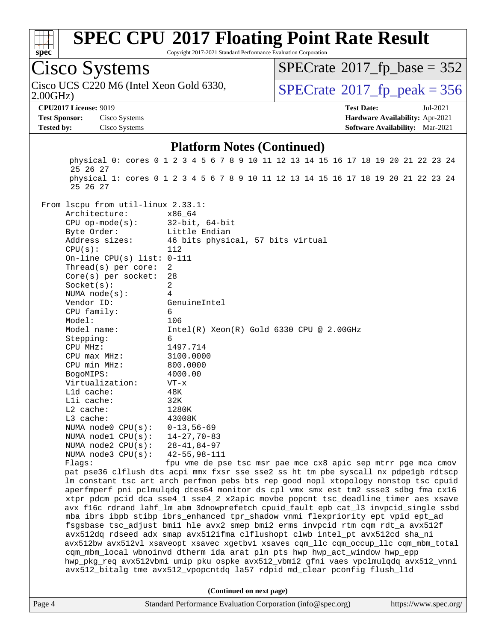

Copyright 2017-2021 Standard Performance Evaluation Corporation

## Cisco Systems

2.00GHz) Cisco UCS C220 M6 (Intel Xeon Gold 6330,  $\vert$  [SPECrate](http://www.spec.org/auto/cpu2017/Docs/result-fields.html#SPECrate2017fppeak)®[2017\\_fp\\_peak = 3](http://www.spec.org/auto/cpu2017/Docs/result-fields.html#SPECrate2017fppeak)56

 $SPECTate$ <sup>®</sup>[2017\\_fp\\_base =](http://www.spec.org/auto/cpu2017/Docs/result-fields.html#SPECrate2017fpbase) 352

**[Test Sponsor:](http://www.spec.org/auto/cpu2017/Docs/result-fields.html#TestSponsor)** Cisco Systems **[Hardware Availability:](http://www.spec.org/auto/cpu2017/Docs/result-fields.html#HardwareAvailability)** Apr-2021 **[Tested by:](http://www.spec.org/auto/cpu2017/Docs/result-fields.html#Testedby)** Cisco Systems **[Software Availability:](http://www.spec.org/auto/cpu2017/Docs/result-fields.html#SoftwareAvailability)** Mar-2021

**[CPU2017 License:](http://www.spec.org/auto/cpu2017/Docs/result-fields.html#CPU2017License)** 9019 **[Test Date:](http://www.spec.org/auto/cpu2017/Docs/result-fields.html#TestDate)** Jul-2021

#### **[Platform Notes \(Continued\)](http://www.spec.org/auto/cpu2017/Docs/result-fields.html#PlatformNotes)**

 physical 0: cores 0 1 2 3 4 5 6 7 8 9 10 11 12 13 14 15 16 17 18 19 20 21 22 23 24 25 26 27 physical 1: cores 0 1 2 3 4 5 6 7 8 9 10 11 12 13 14 15 16 17 18 19 20 21 22 23 24 25 26 27 From lscpu from util-linux 2.33.1: Architecture: x86\_64 CPU op-mode(s): 32-bit, 64-bit Byte Order: Little Endian Address sizes: 46 bits physical, 57 bits virtual  $CPU(s):$  112 On-line CPU(s) list: 0-111 Thread(s) per core: 2 Core(s) per socket: 28 Socket(s): 2 NUMA node(s): 4 Vendor ID: GenuineIntel CPU family: 6 Model: 106 Model name: Intel(R) Xeon(R) Gold 6330 CPU @ 2.00GHz Stepping: 6 CPU MHz: 1497.714 CPU max MHz: 3100.0000 CPU min MHz: 800.0000 BogoMIPS: 4000.00 Virtualization: VT-x L1d cache: 48K L1i cache: 32K L2 cache: 1280K L3 cache: 43008K<br>NUMA node0 CPU(s): 0-13,56-69 NUMA node0 CPU(s): 0-13,56-69<br>NUMA node1 CPU(s): 14-27,70-83 NUMA node1 CPU(s): NUMA node2 CPU(s): 28-41,84-97 NUMA node3 CPU(s): 42-55,98-111 Flags: fpu vme de pse tsc msr pae mce cx8 apic sep mtrr pge mca cmov pat pse36 clflush dts acpi mmx fxsr sse sse2 ss ht tm pbe syscall nx pdpe1gb rdtscp lm constant\_tsc art arch\_perfmon pebs bts rep\_good nopl xtopology nonstop\_tsc cpuid aperfmperf pni pclmulqdq dtes64 monitor ds\_cpl vmx smx est tm2 ssse3 sdbg fma cx16 xtpr pdcm pcid dca sse4\_1 sse4\_2 x2apic movbe popcnt tsc\_deadline\_timer aes xsave avx f16c rdrand lahf\_lm abm 3dnowprefetch cpuid\_fault epb cat\_l3 invpcid\_single ssbd mba ibrs ibpb stibp ibrs\_enhanced tpr\_shadow vnmi flexpriority ept vpid ept\_ad fsgsbase tsc\_adjust bmi1 hle avx2 smep bmi2 erms invpcid rtm cqm rdt\_a avx512f avx512dq rdseed adx smap avx512ifma clflushopt clwb intel\_pt avx512cd sha\_ni avx512bw avx512vl xsaveopt xsavec xgetbv1 xsaves cqm\_llc cqm\_occup\_llc cqm\_mbm\_total cqm\_mbm\_local wbnoinvd dtherm ida arat pln pts hwp hwp\_act\_window hwp\_epp hwp\_pkg\_req avx512vbmi umip pku ospke avx512\_vbmi2 gfni vaes vpclmulqdq avx512\_vnni avx512\_bitalg tme avx512\_vpopcntdq la57 rdpid md\_clear pconfig flush\_l1d **(Continued on next page)**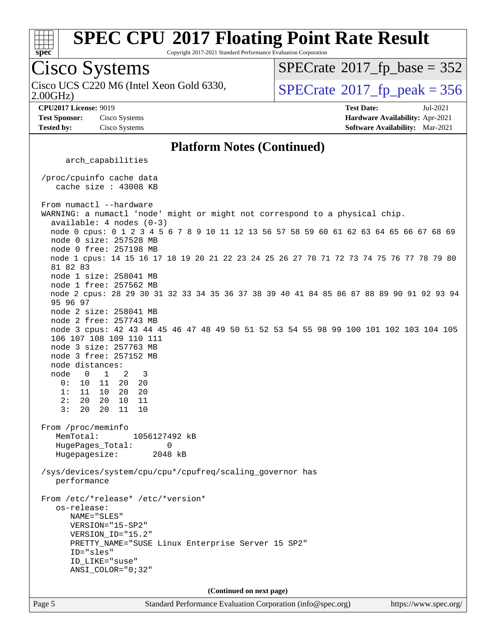

Copyright 2017-2021 Standard Performance Evaluation Corporation

## Cisco Systems

2.00GHz) Cisco UCS C220 M6 (Intel Xeon Gold 6330,  $SPECrate@2017_fp\_peak = 356$  $SPECrate@2017_fp\_peak = 356$ 

 $SPECTate$ <sup>®</sup>[2017\\_fp\\_base =](http://www.spec.org/auto/cpu2017/Docs/result-fields.html#SPECrate2017fpbase) 352

**[Test Sponsor:](http://www.spec.org/auto/cpu2017/Docs/result-fields.html#TestSponsor)** Cisco Systems **[Hardware Availability:](http://www.spec.org/auto/cpu2017/Docs/result-fields.html#HardwareAvailability)** Apr-2021

**[CPU2017 License:](http://www.spec.org/auto/cpu2017/Docs/result-fields.html#CPU2017License)** 9019 **[Test Date:](http://www.spec.org/auto/cpu2017/Docs/result-fields.html#TestDate)** Jul-2021 **[Tested by:](http://www.spec.org/auto/cpu2017/Docs/result-fields.html#Testedby)** Cisco Systems **[Software Availability:](http://www.spec.org/auto/cpu2017/Docs/result-fields.html#SoftwareAvailability)** Mar-2021

#### **[Platform Notes \(Continued\)](http://www.spec.org/auto/cpu2017/Docs/result-fields.html#PlatformNotes)**

arch\_capabilities

 /proc/cpuinfo cache data cache size : 43008 KB

From numactl --hardware WARNING: a numactl 'node' might or might not correspond to a physical chip. available: 4 nodes (0-3) node 0 cpus: 0 1 2 3 4 5 6 7 8 9 10 11 12 13 56 57 58 59 60 61 62 63 64 65 66 67 68 69 node 0 size: 257528 MB node 0 free: 257198 MB node 1 cpus: 14 15 16 17 18 19 20 21 22 23 24 25 26 27 70 71 72 73 74 75 76 77 78 79 80 81 82 83 node 1 size: 258041 MB node 1 free: 257562 MB node 2 cpus: 28 29 30 31 32 33 34 35 36 37 38 39 40 41 84 85 86 87 88 89 90 91 92 93 94 95 96 97 node 2 size: 258041 MB node 2 free: 257743 MB node 3 cpus: 42 43 44 45 46 47 48 49 50 51 52 53 54 55 98 99 100 101 102 103 104 105 106 107 108 109 110 111 node 3 size: 257763 MB node 3 free: 257152 MB node distances: node 0 1 2 3 0: 10 11 20 20 1: 11 10 20 20  $2: 20 20$  3: 20 20 11 10 From /proc/meminfo MemTotal: 1056127492 kB HugePages\_Total: 0 Hugepagesize: 2048 kB /sys/devices/system/cpu/cpu\*/cpufreq/scaling\_governor has performance From /etc/\*release\* /etc/\*version\* os-release: NAME="SLES" VERSION="15-SP2" VERSION\_ID="15.2" PRETTY\_NAME="SUSE Linux Enterprise Server 15 SP2" ID="sles" ID\_LIKE="suse" ANSI\_COLOR="0;32" **(Continued on next page)**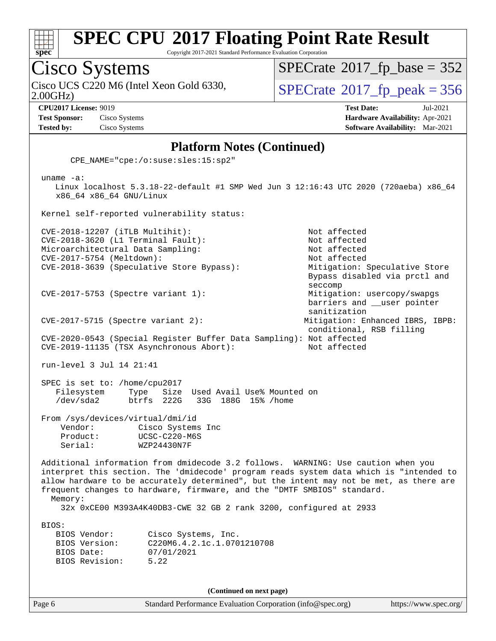

Copyright 2017-2021 Standard Performance Evaluation Corporation

Cisco Systems 2.00GHz) Cisco UCS C220 M6 (Intel Xeon Gold 6330,  $SPECrate@2017_fp\_peak = 356$  $SPECrate@2017_fp\_peak = 356$ **[CPU2017 License:](http://www.spec.org/auto/cpu2017/Docs/result-fields.html#CPU2017License)** 9019 **[Test Date:](http://www.spec.org/auto/cpu2017/Docs/result-fields.html#TestDate)** Jul-2021

 $SPECTate$ <sup>®</sup>[2017\\_fp\\_base =](http://www.spec.org/auto/cpu2017/Docs/result-fields.html#SPECrate2017fpbase) 352

**[Test Sponsor:](http://www.spec.org/auto/cpu2017/Docs/result-fields.html#TestSponsor)** Cisco Systems **[Hardware Availability:](http://www.spec.org/auto/cpu2017/Docs/result-fields.html#HardwareAvailability)** Apr-2021 **[Tested by:](http://www.spec.org/auto/cpu2017/Docs/result-fields.html#Testedby)** Cisco Systems **[Software Availability:](http://www.spec.org/auto/cpu2017/Docs/result-fields.html#SoftwareAvailability)** Mar-2021

#### **[Platform Notes \(Continued\)](http://www.spec.org/auto/cpu2017/Docs/result-fields.html#PlatformNotes)**

CPE\_NAME="cpe:/o:suse:sles:15:sp2"

 uname -a: Linux localhost 5.3.18-22-default #1 SMP Wed Jun 3 12:16:43 UTC 2020 (720aeba) x86\_64 x86\_64 x86\_64 GNU/Linux Kernel self-reported vulnerability status: CVE-2018-12207 (iTLB Multihit): Not affected CVE-2018-3620 (L1 Terminal Fault): Not affected Microarchitectural Data Sampling: Not affected CVE-2017-5754 (Meltdown): Not affected CVE-2018-3639 (Speculative Store Bypass): Mitigation: Speculative Store Bypass disabled via prctl and seccomp CVE-2017-5753 (Spectre variant 1): Mitigation: usercopy/swapgs barriers and \_\_user pointer sanitization CVE-2017-5715 (Spectre variant 2): Mitigation: Enhanced IBRS, IBPB: conditional, RSB filling CVE-2020-0543 (Special Register Buffer Data Sampling): Not affected CVE-2019-11135 (TSX Asynchronous Abort): Not affected run-level 3 Jul 14 21:41 SPEC is set to: /home/cpu2017 Filesystem Type Size Used Avail Use% Mounted on<br>
/dev/sda2 btrfs 222G 33G 188G 15% /home /dev/sda2 btrfs 222G 33G 188G 15% /home From /sys/devices/virtual/dmi/id Vendor: Cisco Systems Inc Product: UCSC-C220-M6S Serial: WZP24430N7F Additional information from dmidecode 3.2 follows. WARNING: Use caution when you interpret this section. The 'dmidecode' program reads system data which is "intended to allow hardware to be accurately determined", but the intent may not be met, as there are frequent changes to hardware, firmware, and the "DMTF SMBIOS" standard. Memory: 32x 0xCE00 M393A4K40DB3-CWE 32 GB 2 rank 3200, configured at 2933 BIOS: BIOS Vendor: Cisco Systems, Inc. BIOS Version: C220M6.4.2.1c.1.0701210708 BIOS Date: 07/01/2021 BIOS Revision: 5.22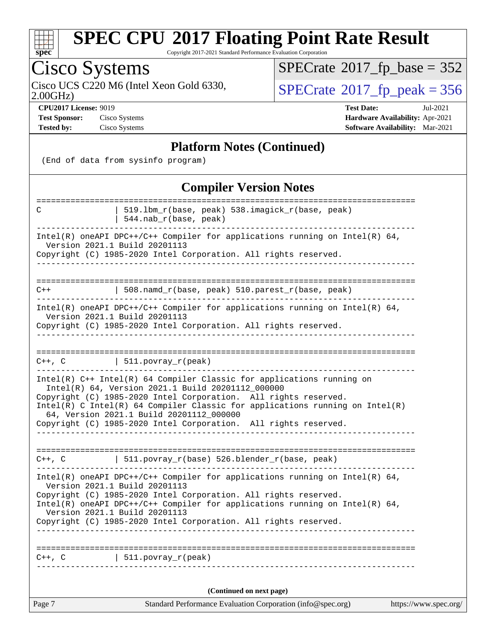

Copyright 2017-2021 Standard Performance Evaluation Corporation

### Cisco Systems

 $SPECTate$ <sup>®</sup>[2017\\_fp\\_base =](http://www.spec.org/auto/cpu2017/Docs/result-fields.html#SPECrate2017fpbase) 352

2.00GHz)

**[Test Sponsor:](http://www.spec.org/auto/cpu2017/Docs/result-fields.html#TestSponsor)** Cisco Systems **[Hardware Availability:](http://www.spec.org/auto/cpu2017/Docs/result-fields.html#HardwareAvailability)** Apr-2021

Cisco UCS C220 M6 (Intel Xeon Gold 6330,  $SPECrate@2017_fp\_peak = 356$  $SPECrate@2017_fp\_peak = 356$ 

**[CPU2017 License:](http://www.spec.org/auto/cpu2017/Docs/result-fields.html#CPU2017License)** 9019 **[Test Date:](http://www.spec.org/auto/cpu2017/Docs/result-fields.html#TestDate)** Jul-2021 **[Tested by:](http://www.spec.org/auto/cpu2017/Docs/result-fields.html#Testedby)** Cisco Systems **[Software Availability:](http://www.spec.org/auto/cpu2017/Docs/result-fields.html#SoftwareAvailability)** Mar-2021

#### **[Platform Notes \(Continued\)](http://www.spec.org/auto/cpu2017/Docs/result-fields.html#PlatformNotes)**

(End of data from sysinfo program)

#### **[Compiler Version Notes](http://www.spec.org/auto/cpu2017/Docs/result-fields.html#CompilerVersionNotes)**

| $C++$ , $C$ | (Continued on next page)                                                                                                                                                                    |  |
|-------------|---------------------------------------------------------------------------------------------------------------------------------------------------------------------------------------------|--|
|             |                                                                                                                                                                                             |  |
|             | $ $ 511.povray_r(peak)                                                                                                                                                                      |  |
|             |                                                                                                                                                                                             |  |
|             | Copyright (C) 1985-2020 Intel Corporation. All rights reserved.                                                                                                                             |  |
|             | Version 2021.1 Build 20201113                                                                                                                                                               |  |
|             | Copyright (C) 1985-2020 Intel Corporation. All rights reserved.<br>Intel(R) oneAPI DPC++/C++ Compiler for applications running on Intel(R) $64$ ,                                           |  |
|             | Intel(R) oneAPI DPC++/C++ Compiler for applications running on Intel(R) $64$ ,<br>Version 2021.1 Build 20201113                                                                             |  |
|             |                                                                                                                                                                                             |  |
| $C++$ , $C$ | 511.povray_r(base) 526.blender_r(base, peak)                                                                                                                                                |  |
|             |                                                                                                                                                                                             |  |
|             | Intel(R) C Intel(R) 64 Compiler Classic for applications running on Intel(R)<br>64, Version 2021.1 Build 20201112_000000<br>Copyright (C) 1985-2020 Intel Corporation. All rights reserved. |  |
|             | Copyright (C) 1985-2020 Intel Corporation. All rights reserved.                                                                                                                             |  |
|             | Intel(R) C++ Intel(R) 64 Compiler Classic for applications running on<br>Intel(R) 64, Version 2021.1 Build 20201112_000000                                                                  |  |
| C++, C      | $ $ 511.povray_r(peak)                                                                                                                                                                      |  |
|             |                                                                                                                                                                                             |  |
|             | ___________________________                                                                                                                                                                 |  |
|             | Version 2021.1 Build 20201113<br>Copyright (C) 1985-2020 Intel Corporation. All rights reserved.                                                                                            |  |
|             | Intel(R) oneAPI DPC++/C++ Compiler for applications running on Intel(R) 64,                                                                                                                 |  |
| $C++$       | 508.namd_r(base, peak) 510.parest_r(base, peak)                                                                                                                                             |  |
|             |                                                                                                                                                                                             |  |
|             | Version 2021.1 Build 20201113<br>Copyright (C) 1985-2020 Intel Corporation. All rights reserved.                                                                                            |  |
|             | Intel(R) oneAPI DPC++/C++ Compiler for applications running on Intel(R) $64$ ,                                                                                                              |  |
|             | 519.1bm_r(base, peak) 538.imagick_r(base, peak)<br>544.nab_r(base, peak)                                                                                                                    |  |
| C           |                                                                                                                                                                                             |  |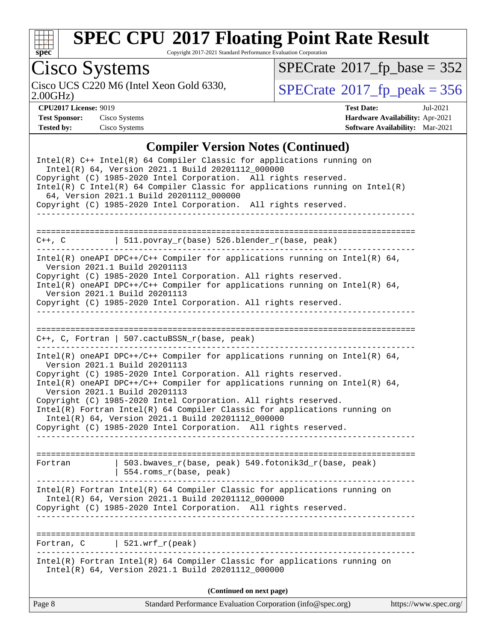

Copyright 2017-2021 Standard Performance Evaluation Corporation

# Cisco Systems<br>Cisco UCS C220 M6 (Intel Xeon Gold 6330,

2.00GHz)

 $SPECTate$ <sup>®</sup>[2017\\_fp\\_base =](http://www.spec.org/auto/cpu2017/Docs/result-fields.html#SPECrate2017fpbase) 352

 $SPECTate$ <sup>®</sup>[2017\\_fp\\_peak = 3](http://www.spec.org/auto/cpu2017/Docs/result-fields.html#SPECrate2017fppeak)56

| <b>Test Sponsor:</b> | Cisco System |
|----------------------|--------------|
| Tested by:           | Cisco System |

**[CPU2017 License:](http://www.spec.org/auto/cpu2017/Docs/result-fields.html#CPU2017License)** 9019 **[Test Date:](http://www.spec.org/auto/cpu2017/Docs/result-fields.html#TestDate)** Jul-2021 **[Test Sponsor:](http://www.spec.org/auto/cpu2017/Docs/result-fields.html#TestSponsor)** Cisco Systems **[Hardware Availability:](http://www.spec.org/auto/cpu2017/Docs/result-fields.html#HardwareAvailability)** Apr-2021 **[Tested by:](http://www.spec.org/auto/cpu2017/Docs/result-fields.html#Testedby)** Cisco Systems **[Software Availability:](http://www.spec.org/auto/cpu2017/Docs/result-fields.html#SoftwareAvailability)** Mar-2021

#### **[Compiler Version Notes \(Continued\)](http://www.spec.org/auto/cpu2017/Docs/result-fields.html#CompilerVersionNotes)**

| Fortran, C<br>Page 8 | $521.wrf_r(peak)$<br>Intel(R) Fortran Intel(R) 64 Compiler Classic for applications running on<br>Intel(R) 64, Version 2021.1 Build 20201112_000000<br>(Continued on next page)<br>Standard Performance Evaluation Corporation (info@spec.org)<br>https://www.spec.org/                                                                                                                        |  |
|----------------------|------------------------------------------------------------------------------------------------------------------------------------------------------------------------------------------------------------------------------------------------------------------------------------------------------------------------------------------------------------------------------------------------|--|
|                      |                                                                                                                                                                                                                                                                                                                                                                                                |  |
|                      |                                                                                                                                                                                                                                                                                                                                                                                                |  |
|                      |                                                                                                                                                                                                                                                                                                                                                                                                |  |
|                      | $Intel(R)$ Fortran Intel(R) 64 Compiler Classic for applications running on<br>Intel(R) 64, Version 2021.1 Build 20201112_000000<br>Copyright (C) 1985-2020 Intel Corporation. All rights reserved.                                                                                                                                                                                            |  |
| Fortran              | 503.bwaves_r(base, peak) 549.fotonik3d_r(base, peak)<br>  554.roms_r(base, peak)                                                                                                                                                                                                                                                                                                               |  |
|                      | Intel(R) oneAPI DPC++/C++ Compiler for applications running on Intel(R) $64$ ,<br>Version 2021.1 Build 20201113<br>Copyright (C) 1985-2020 Intel Corporation. All rights reserved.<br>Intel(R) Fortran Intel(R) 64 Compiler Classic for applications running on<br>Intel(R) 64, Version 2021.1 Build 20201112_000000<br>Copyright (C) 1985-2020 Intel Corporation. All rights reserved.        |  |
|                      | $Intel(R)$ oneAPI DPC++/C++ Compiler for applications running on Intel(R) 64,<br>Version 2021.1 Build 20201113<br>Copyright (C) 1985-2020 Intel Corporation. All rights reserved.                                                                                                                                                                                                              |  |
|                      | $C++$ , C, Fortran   507.cactuBSSN_r(base, peak)                                                                                                                                                                                                                                                                                                                                               |  |
|                      | Copyright (C) 1985-2020 Intel Corporation. All rights reserved.<br>$Intel(R)$ oneAPI DPC++/C++ Compiler for applications running on Intel(R) 64,<br>Version 2021.1 Build 20201113<br>Copyright (C) 1985-2020 Intel Corporation. All rights reserved.                                                                                                                                           |  |
|                      | $Intel(R)$ oneAPI DPC++/C++ Compiler for applications running on Intel(R) 64,<br>Version 2021.1 Build 20201113                                                                                                                                                                                                                                                                                 |  |
|                      | C++, C $\vert$ 511.povray_r(base) 526.blender_r(base, peak)                                                                                                                                                                                                                                                                                                                                    |  |
|                      | ------------------------------                                                                                                                                                                                                                                                                                                                                                                 |  |
| ----------------     |                                                                                                                                                                                                                                                                                                                                                                                                |  |
|                      | Intel(R) C++ Intel(R) 64 Compiler Classic for applications running on<br>Intel(R) 64, Version 2021.1 Build 20201112_000000<br>Copyright (C) 1985-2020 Intel Corporation. All rights reserved.<br>$Intel(R)$ C Intel(R) 64 Compiler Classic for applications running on Intel(R)<br>64, Version 2021.1 Build 20201112_000000<br>Copyright (C) 1985-2020 Intel Corporation. All rights reserved. |  |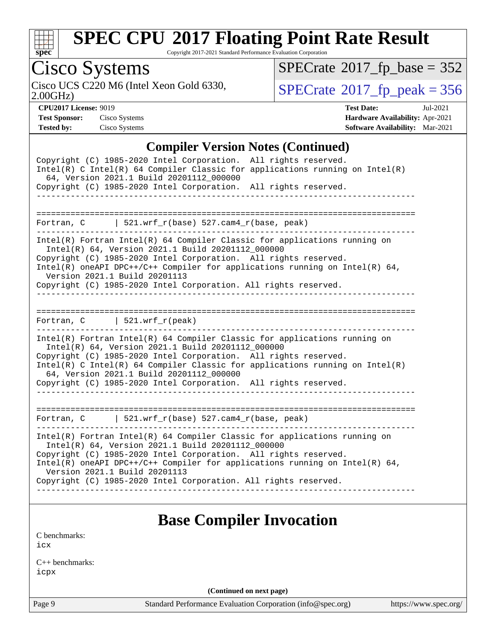

Copyright 2017-2021 Standard Performance Evaluation Corporation

## Cisco Systems

2.00GHz)

 $SPECTate$ <sup>®</sup>[2017\\_fp\\_base =](http://www.spec.org/auto/cpu2017/Docs/result-fields.html#SPECrate2017fpbase) 352

Cisco UCS C220 M6 (Intel Xeon Gold 6330,  $SPECrate@2017_fp\_peak = 356$  $SPECrate@2017_fp\_peak = 356$ 

**[CPU2017 License:](http://www.spec.org/auto/cpu2017/Docs/result-fields.html#CPU2017License)** 9019 **[Test Date:](http://www.spec.org/auto/cpu2017/Docs/result-fields.html#TestDate)** Jul-2021 **[Test Sponsor:](http://www.spec.org/auto/cpu2017/Docs/result-fields.html#TestSponsor)** Cisco Systems **[Hardware Availability:](http://www.spec.org/auto/cpu2017/Docs/result-fields.html#HardwareAvailability)** Apr-2021 **[Tested by:](http://www.spec.org/auto/cpu2017/Docs/result-fields.html#Testedby)** Cisco Systems **[Software Availability:](http://www.spec.org/auto/cpu2017/Docs/result-fields.html#SoftwareAvailability)** Mar-2021

#### **[Compiler Version Notes \(Continued\)](http://www.spec.org/auto/cpu2017/Docs/result-fields.html#CompilerVersionNotes)**

| Copyright (C) 1985-2020 Intel Corporation. All rights reserved.                                                                                                                                                                                                                                                                 |
|---------------------------------------------------------------------------------------------------------------------------------------------------------------------------------------------------------------------------------------------------------------------------------------------------------------------------------|
| Intel(R) C Intel(R) 64 Compiler Classic for applications running on Intel(R)<br>64, Version 2021.1 Build 20201112_000000                                                                                                                                                                                                        |
| Copyright (C) 1985-2020 Intel Corporation. All rights reserved.                                                                                                                                                                                                                                                                 |
|                                                                                                                                                                                                                                                                                                                                 |
|                                                                                                                                                                                                                                                                                                                                 |
| Fortran, $C$   521.wrf_r(base) 527.cam4_r(base, peak)                                                                                                                                                                                                                                                                           |
| Intel(R) Fortran Intel(R) 64 Compiler Classic for applications running on<br>Intel(R) 64, Version 2021.1 Build 20201112_000000<br>Copyright (C) 1985-2020 Intel Corporation. All rights reserved.<br>Intel(R) oneAPI DPC++/C++ Compiler for applications running on Intel(R) $64$ ,<br>Version 2021.1 Build 20201113            |
| Copyright (C) 1985-2020 Intel Corporation. All rights reserved.                                                                                                                                                                                                                                                                 |
|                                                                                                                                                                                                                                                                                                                                 |
| Fortran, $C$   521.wrf_r(peak)                                                                                                                                                                                                                                                                                                  |
| Intel(R) Fortran Intel(R) 64 Compiler Classic for applications running on<br>Intel(R) 64, Version 2021.1 Build 20201112_000000<br>Copyright (C) 1985-2020 Intel Corporation. All rights reserved.<br>$Intel(R)$ C Intel(R) 64 Compiler Classic for applications running on Intel(R)<br>64, Version 2021.1 Build 20201112_000000 |
| Copyright (C) 1985-2020 Intel Corporation. All rights reserved.                                                                                                                                                                                                                                                                 |
|                                                                                                                                                                                                                                                                                                                                 |
| Fortran, C   521.wrf_r(base) 527.cam4_r(base, peak)                                                                                                                                                                                                                                                                             |
| Intel(R) Fortran Intel(R) 64 Compiler Classic for applications running on<br>Intel(R) 64, Version 2021.1 Build 20201112_000000                                                                                                                                                                                                  |
| Copyright (C) 1985-2020 Intel Corporation. All rights reserved.<br>Intel(R) oneAPI DPC++/C++ Compiler for applications running on Intel(R) $64$ ,<br>Version 2021.1 Build 20201113                                                                                                                                              |
| Copyright (C) 1985-2020 Intel Corporation. All rights reserved.                                                                                                                                                                                                                                                                 |
|                                                                                                                                                                                                                                                                                                                                 |
|                                                                                                                                                                                                                                                                                                                                 |
| <b>Base Compiler Invocation</b>                                                                                                                                                                                                                                                                                                 |
|                                                                                                                                                                                                                                                                                                                                 |

[icx](http://www.spec.org/cpu2017/results/res2021q3/cpu2017-20210720-28361.flags.html#user_CCbase_intel_icx_fe2d28d19ae2a5db7c42fe0f2a2aed77cb715edd4aeb23434404a8be6683fe239869bb6ca8154ca98265c2e3b9226a719a0efe2953a4a7018c379b7010ccf087)

[C benchmarks](http://www.spec.org/auto/cpu2017/Docs/result-fields.html#Cbenchmarks):

[C++ benchmarks:](http://www.spec.org/auto/cpu2017/Docs/result-fields.html#CXXbenchmarks) [icpx](http://www.spec.org/cpu2017/results/res2021q3/cpu2017-20210720-28361.flags.html#user_CXXbase_intel_icpx_1e918ed14c436bf4b9b7c8bcdd51d4539fc71b3df010bd1e9f8732d9c34c2b2914e48204a846820f3c0ebb4095dea797a5c30b458ac0b6dffac65d78f781f5ca)

**(Continued on next page)**

Page 9 Standard Performance Evaluation Corporation [\(info@spec.org\)](mailto:info@spec.org) <https://www.spec.org/>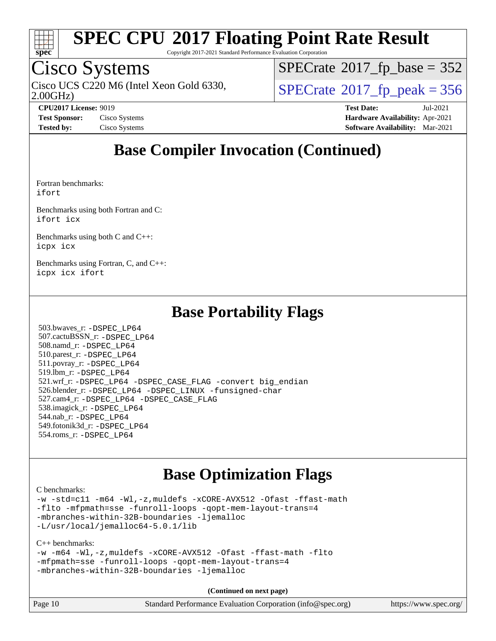

Copyright 2017-2021 Standard Performance Evaluation Corporation

### Cisco Systems

2.00GHz) Cisco UCS C220 M6 (Intel Xeon Gold 6330,  $SPECrate@2017_fp\_peak = 356$  $SPECrate@2017_fp\_peak = 356$ 

 $SPECTate$ <sup>®</sup>[2017\\_fp\\_base =](http://www.spec.org/auto/cpu2017/Docs/result-fields.html#SPECrate2017fpbase) 352

**[CPU2017 License:](http://www.spec.org/auto/cpu2017/Docs/result-fields.html#CPU2017License)** 9019 **[Test Date:](http://www.spec.org/auto/cpu2017/Docs/result-fields.html#TestDate)** Jul-2021 **[Test Sponsor:](http://www.spec.org/auto/cpu2017/Docs/result-fields.html#TestSponsor)** Cisco Systems **[Hardware Availability:](http://www.spec.org/auto/cpu2017/Docs/result-fields.html#HardwareAvailability)** Apr-2021 **[Tested by:](http://www.spec.org/auto/cpu2017/Docs/result-fields.html#Testedby)** Cisco Systems **[Software Availability:](http://www.spec.org/auto/cpu2017/Docs/result-fields.html#SoftwareAvailability)** Mar-2021

### **[Base Compiler Invocation \(Continued\)](http://www.spec.org/auto/cpu2017/Docs/result-fields.html#BaseCompilerInvocation)**

[Fortran benchmarks](http://www.spec.org/auto/cpu2017/Docs/result-fields.html#Fortranbenchmarks): [ifort](http://www.spec.org/cpu2017/results/res2021q3/cpu2017-20210720-28361.flags.html#user_FCbase_intel_ifort_8111460550e3ca792625aed983ce982f94888b8b503583aa7ba2b8303487b4d8a21a13e7191a45c5fd58ff318f48f9492884d4413fa793fd88dd292cad7027ca)

[Benchmarks using both Fortran and C](http://www.spec.org/auto/cpu2017/Docs/result-fields.html#BenchmarksusingbothFortranandC): [ifort](http://www.spec.org/cpu2017/results/res2021q3/cpu2017-20210720-28361.flags.html#user_CC_FCbase_intel_ifort_8111460550e3ca792625aed983ce982f94888b8b503583aa7ba2b8303487b4d8a21a13e7191a45c5fd58ff318f48f9492884d4413fa793fd88dd292cad7027ca) [icx](http://www.spec.org/cpu2017/results/res2021q3/cpu2017-20210720-28361.flags.html#user_CC_FCbase_intel_icx_fe2d28d19ae2a5db7c42fe0f2a2aed77cb715edd4aeb23434404a8be6683fe239869bb6ca8154ca98265c2e3b9226a719a0efe2953a4a7018c379b7010ccf087)

[Benchmarks using both C and C++](http://www.spec.org/auto/cpu2017/Docs/result-fields.html#BenchmarksusingbothCandCXX): [icpx](http://www.spec.org/cpu2017/results/res2021q3/cpu2017-20210720-28361.flags.html#user_CC_CXXbase_intel_icpx_1e918ed14c436bf4b9b7c8bcdd51d4539fc71b3df010bd1e9f8732d9c34c2b2914e48204a846820f3c0ebb4095dea797a5c30b458ac0b6dffac65d78f781f5ca) [icx](http://www.spec.org/cpu2017/results/res2021q3/cpu2017-20210720-28361.flags.html#user_CC_CXXbase_intel_icx_fe2d28d19ae2a5db7c42fe0f2a2aed77cb715edd4aeb23434404a8be6683fe239869bb6ca8154ca98265c2e3b9226a719a0efe2953a4a7018c379b7010ccf087)

[Benchmarks using Fortran, C, and C++:](http://www.spec.org/auto/cpu2017/Docs/result-fields.html#BenchmarksusingFortranCandCXX) [icpx](http://www.spec.org/cpu2017/results/res2021q3/cpu2017-20210720-28361.flags.html#user_CC_CXX_FCbase_intel_icpx_1e918ed14c436bf4b9b7c8bcdd51d4539fc71b3df010bd1e9f8732d9c34c2b2914e48204a846820f3c0ebb4095dea797a5c30b458ac0b6dffac65d78f781f5ca) [icx](http://www.spec.org/cpu2017/results/res2021q3/cpu2017-20210720-28361.flags.html#user_CC_CXX_FCbase_intel_icx_fe2d28d19ae2a5db7c42fe0f2a2aed77cb715edd4aeb23434404a8be6683fe239869bb6ca8154ca98265c2e3b9226a719a0efe2953a4a7018c379b7010ccf087) [ifort](http://www.spec.org/cpu2017/results/res2021q3/cpu2017-20210720-28361.flags.html#user_CC_CXX_FCbase_intel_ifort_8111460550e3ca792625aed983ce982f94888b8b503583aa7ba2b8303487b4d8a21a13e7191a45c5fd58ff318f48f9492884d4413fa793fd88dd292cad7027ca)

### **[Base Portability Flags](http://www.spec.org/auto/cpu2017/Docs/result-fields.html#BasePortabilityFlags)**

 503.bwaves\_r: [-DSPEC\\_LP64](http://www.spec.org/cpu2017/results/res2021q3/cpu2017-20210720-28361.flags.html#suite_basePORTABILITY503_bwaves_r_DSPEC_LP64) 507.cactuBSSN\_r: [-DSPEC\\_LP64](http://www.spec.org/cpu2017/results/res2021q3/cpu2017-20210720-28361.flags.html#suite_basePORTABILITY507_cactuBSSN_r_DSPEC_LP64) 508.namd\_r: [-DSPEC\\_LP64](http://www.spec.org/cpu2017/results/res2021q3/cpu2017-20210720-28361.flags.html#suite_basePORTABILITY508_namd_r_DSPEC_LP64) 510.parest\_r: [-DSPEC\\_LP64](http://www.spec.org/cpu2017/results/res2021q3/cpu2017-20210720-28361.flags.html#suite_basePORTABILITY510_parest_r_DSPEC_LP64) 511.povray\_r: [-DSPEC\\_LP64](http://www.spec.org/cpu2017/results/res2021q3/cpu2017-20210720-28361.flags.html#suite_basePORTABILITY511_povray_r_DSPEC_LP64) 519.lbm\_r: [-DSPEC\\_LP64](http://www.spec.org/cpu2017/results/res2021q3/cpu2017-20210720-28361.flags.html#suite_basePORTABILITY519_lbm_r_DSPEC_LP64) 521.wrf\_r: [-DSPEC\\_LP64](http://www.spec.org/cpu2017/results/res2021q3/cpu2017-20210720-28361.flags.html#suite_basePORTABILITY521_wrf_r_DSPEC_LP64) [-DSPEC\\_CASE\\_FLAG](http://www.spec.org/cpu2017/results/res2021q3/cpu2017-20210720-28361.flags.html#b521.wrf_r_baseCPORTABILITY_DSPEC_CASE_FLAG) [-convert big\\_endian](http://www.spec.org/cpu2017/results/res2021q3/cpu2017-20210720-28361.flags.html#user_baseFPORTABILITY521_wrf_r_convert_big_endian_c3194028bc08c63ac5d04de18c48ce6d347e4e562e8892b8bdbdc0214820426deb8554edfa529a3fb25a586e65a3d812c835984020483e7e73212c4d31a38223) 526.blender\_r: [-DSPEC\\_LP64](http://www.spec.org/cpu2017/results/res2021q3/cpu2017-20210720-28361.flags.html#suite_basePORTABILITY526_blender_r_DSPEC_LP64) [-DSPEC\\_LINUX](http://www.spec.org/cpu2017/results/res2021q3/cpu2017-20210720-28361.flags.html#b526.blender_r_baseCPORTABILITY_DSPEC_LINUX) [-funsigned-char](http://www.spec.org/cpu2017/results/res2021q3/cpu2017-20210720-28361.flags.html#user_baseCPORTABILITY526_blender_r_force_uchar_40c60f00ab013830e2dd6774aeded3ff59883ba5a1fc5fc14077f794d777847726e2a5858cbc7672e36e1b067e7e5c1d9a74f7176df07886a243d7cc18edfe67) 527.cam4\_r: [-DSPEC\\_LP64](http://www.spec.org/cpu2017/results/res2021q3/cpu2017-20210720-28361.flags.html#suite_basePORTABILITY527_cam4_r_DSPEC_LP64) [-DSPEC\\_CASE\\_FLAG](http://www.spec.org/cpu2017/results/res2021q3/cpu2017-20210720-28361.flags.html#b527.cam4_r_baseCPORTABILITY_DSPEC_CASE_FLAG) 538.imagick\_r: [-DSPEC\\_LP64](http://www.spec.org/cpu2017/results/res2021q3/cpu2017-20210720-28361.flags.html#suite_basePORTABILITY538_imagick_r_DSPEC_LP64) 544.nab\_r: [-DSPEC\\_LP64](http://www.spec.org/cpu2017/results/res2021q3/cpu2017-20210720-28361.flags.html#suite_basePORTABILITY544_nab_r_DSPEC_LP64) 549.fotonik3d\_r: [-DSPEC\\_LP64](http://www.spec.org/cpu2017/results/res2021q3/cpu2017-20210720-28361.flags.html#suite_basePORTABILITY549_fotonik3d_r_DSPEC_LP64) 554.roms\_r: [-DSPEC\\_LP64](http://www.spec.org/cpu2017/results/res2021q3/cpu2017-20210720-28361.flags.html#suite_basePORTABILITY554_roms_r_DSPEC_LP64)

### **[Base Optimization Flags](http://www.spec.org/auto/cpu2017/Docs/result-fields.html#BaseOptimizationFlags)**

[C benchmarks](http://www.spec.org/auto/cpu2017/Docs/result-fields.html#Cbenchmarks):

[-w](http://www.spec.org/cpu2017/results/res2021q3/cpu2017-20210720-28361.flags.html#user_CCbase_supress_warning_66fb2c4e5c1dd10f38bdd29623979399e5ae75ae6e5453792d82ef66afed381df4a8602f92cac8d2ea0fffa7b93b4b1ccb9ecad4af01c9b2fe338b2082ae3859) [-std=c11](http://www.spec.org/cpu2017/results/res2021q3/cpu2017-20210720-28361.flags.html#user_CCbase_std-icc-std_0e1c27790398a4642dfca32ffe6c27b5796f9c2d2676156f2e42c9c44eaad0c049b1cdb667a270c34d979996257aeb8fc440bfb01818dbc9357bd9d174cb8524) [-m64](http://www.spec.org/cpu2017/results/res2021q3/cpu2017-20210720-28361.flags.html#user_CCbase_m64-icc) [-Wl,-z,muldefs](http://www.spec.org/cpu2017/results/res2021q3/cpu2017-20210720-28361.flags.html#user_CCbase_link_force_multiple1_b4cbdb97b34bdee9ceefcfe54f4c8ea74255f0b02a4b23e853cdb0e18eb4525ac79b5a88067c842dd0ee6996c24547a27a4b99331201badda8798ef8a743f577) [-xCORE-AVX512](http://www.spec.org/cpu2017/results/res2021q3/cpu2017-20210720-28361.flags.html#user_CCbase_f-xCORE-AVX512) [-Ofast](http://www.spec.org/cpu2017/results/res2021q3/cpu2017-20210720-28361.flags.html#user_CCbase_f-Ofast) [-ffast-math](http://www.spec.org/cpu2017/results/res2021q3/cpu2017-20210720-28361.flags.html#user_CCbase_f-ffast-math) [-flto](http://www.spec.org/cpu2017/results/res2021q3/cpu2017-20210720-28361.flags.html#user_CCbase_f-flto) [-mfpmath=sse](http://www.spec.org/cpu2017/results/res2021q3/cpu2017-20210720-28361.flags.html#user_CCbase_f-mfpmath_70eb8fac26bde974f8ab713bc9086c5621c0b8d2f6c86f38af0bd7062540daf19db5f3a066d8c6684be05d84c9b6322eb3b5be6619d967835195b93d6c02afa1) [-funroll-loops](http://www.spec.org/cpu2017/results/res2021q3/cpu2017-20210720-28361.flags.html#user_CCbase_f-funroll-loops) [-qopt-mem-layout-trans=4](http://www.spec.org/cpu2017/results/res2021q3/cpu2017-20210720-28361.flags.html#user_CCbase_f-qopt-mem-layout-trans_fa39e755916c150a61361b7846f310bcdf6f04e385ef281cadf3647acec3f0ae266d1a1d22d972a7087a248fd4e6ca390a3634700869573d231a252c784941a8) [-mbranches-within-32B-boundaries](http://www.spec.org/cpu2017/results/res2021q3/cpu2017-20210720-28361.flags.html#user_CCbase_f-mbranches-within-32B-boundaries) [-ljemalloc](http://www.spec.org/cpu2017/results/res2021q3/cpu2017-20210720-28361.flags.html#user_CCbase_jemalloc_link_lib_d1249b907c500fa1c0672f44f562e3d0f79738ae9e3c4a9c376d49f265a04b9c99b167ecedbf6711b3085be911c67ff61f150a17b3472be731631ba4d0471706) [-L/usr/local/jemalloc64-5.0.1/lib](http://www.spec.org/cpu2017/results/res2021q3/cpu2017-20210720-28361.flags.html#user_CCbase_jemalloc_link_path64_1_cc289568b1a6c0fd3b62c91b824c27fcb5af5e8098e6ad028160d21144ef1b8aef3170d2acf0bee98a8da324cfe4f67d0a3d0c4cc4673d993d694dc2a0df248b)

[C++ benchmarks:](http://www.spec.org/auto/cpu2017/Docs/result-fields.html#CXXbenchmarks)

|  |                                                      |  | -w -m64 -Wl,-z, muldefs -xCORE-AVX512 -Ofast -ffast-math -flto |  |
|--|------------------------------------------------------|--|----------------------------------------------------------------|--|
|  | -mfpmath=sse -funroll-loops -qopt-mem-layout-trans=4 |  |                                                                |  |
|  | -mbranches-within-32B-boundaries -liemalloc          |  |                                                                |  |

| Page 10 | Standard Performance Evaluation Corporation (info@spec.org) | https://www.spec.org/ |
|---------|-------------------------------------------------------------|-----------------------|
|         |                                                             |                       |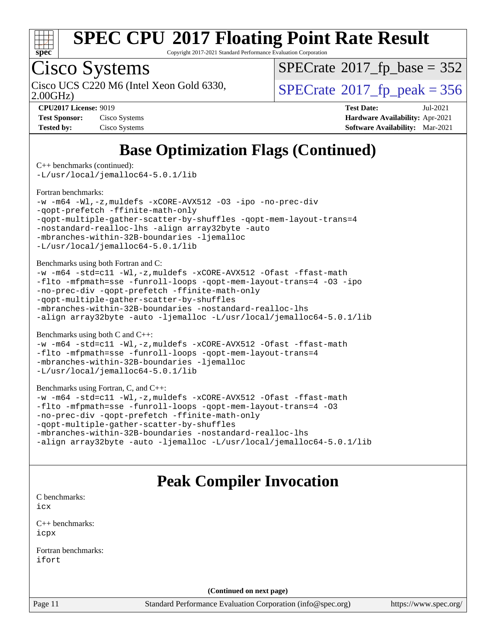

Copyright 2017-2021 Standard Performance Evaluation Corporation

## Cisco Systems

2.00GHz)

 $SPECTate$ <sup>®</sup>[2017\\_fp\\_base =](http://www.spec.org/auto/cpu2017/Docs/result-fields.html#SPECrate2017fpbase) 352

Cisco UCS C220 M6 (Intel Xeon Gold 6330,  $SPECrate@2017_fp\_peak = 356$  $SPECrate@2017_fp\_peak = 356$ 

| <b>Test Sponsor:</b> | Cisco Systems |
|----------------------|---------------|
| <b>Tested by:</b>    | Cisco Systems |

**[CPU2017 License:](http://www.spec.org/auto/cpu2017/Docs/result-fields.html#CPU2017License)** 9019 **[Test Date:](http://www.spec.org/auto/cpu2017/Docs/result-fields.html#TestDate)** Jul-2021 **[Hardware Availability:](http://www.spec.org/auto/cpu2017/Docs/result-fields.html#HardwareAvailability)** Apr-2021 **[Software Availability:](http://www.spec.org/auto/cpu2017/Docs/result-fields.html#SoftwareAvailability)** Mar-2021

### **[Base Optimization Flags \(Continued\)](http://www.spec.org/auto/cpu2017/Docs/result-fields.html#BaseOptimizationFlags)**

[C++ benchmarks](http://www.spec.org/auto/cpu2017/Docs/result-fields.html#CXXbenchmarks) (continued):

[-L/usr/local/jemalloc64-5.0.1/lib](http://www.spec.org/cpu2017/results/res2021q3/cpu2017-20210720-28361.flags.html#user_CXXbase_jemalloc_link_path64_1_cc289568b1a6c0fd3b62c91b824c27fcb5af5e8098e6ad028160d21144ef1b8aef3170d2acf0bee98a8da324cfe4f67d0a3d0c4cc4673d993d694dc2a0df248b)

#### [Fortran benchmarks](http://www.spec.org/auto/cpu2017/Docs/result-fields.html#Fortranbenchmarks):

```
-w -m64 -Wl,-z,muldefs -xCORE-AVX512 -O3 -ipo -no-prec-div
-qopt-prefetch -ffinite-math-only
-qopt-multiple-gather-scatter-by-shuffles -qopt-mem-layout-trans=4
-nostandard-realloc-lhs -align array32byte -auto
-mbranches-within-32B-boundaries -ljemalloc
-L/usr/local/jemalloc64-5.0.1/lib
```
[Benchmarks using both Fortran and C](http://www.spec.org/auto/cpu2017/Docs/result-fields.html#BenchmarksusingbothFortranandC):

```
-w -m64 -std=c11 -Wl,-z,muldefs -xCORE-AVX512 -Ofast -ffast-math
-flto -mfpmath=sse -funroll-loops -qopt-mem-layout-trans=4 -O3 -ipo
-no-prec-div -qopt-prefetch -ffinite-math-only
-qopt-multiple-gather-scatter-by-shuffles
-mbranches-within-32B-boundaries -nostandard-realloc-lhs
-align array32byte -auto -ljemalloc -L/usr/local/jemalloc64-5.0.1/lib
```
[Benchmarks using both C and C++](http://www.spec.org/auto/cpu2017/Docs/result-fields.html#BenchmarksusingbothCandCXX):

```
-w -m64 -std=c11 -Wl,-z,muldefs -xCORE-AVX512 -Ofast -ffast-math
-flto -mfpmath=sse -funroll-loops -qopt-mem-layout-trans=4
-mbranches-within-32B-boundaries -ljemalloc
-L/usr/local/jemalloc64-5.0.1/lib
```
#### [Benchmarks using Fortran, C, and C++:](http://www.spec.org/auto/cpu2017/Docs/result-fields.html#BenchmarksusingFortranCandCXX)

```
-w -m64 -std=c11 -Wl,-z,muldefs -xCORE-AVX512 -Ofast -ffast-math
-flto -mfpmath=sse -funroll-loops -qopt-mem-layout-trans=4 -O3
-no-prec-div -qopt-prefetch -ffinite-math-only
-qopt-multiple-gather-scatter-by-shuffles
-mbranches-within-32B-boundaries -nostandard-realloc-lhs
-align array32byte -auto -ljemalloc -L/usr/local/jemalloc64-5.0.1/lib
```
### **[Peak Compiler Invocation](http://www.spec.org/auto/cpu2017/Docs/result-fields.html#PeakCompilerInvocation)**

[C benchmarks](http://www.spec.org/auto/cpu2017/Docs/result-fields.html#Cbenchmarks): [icx](http://www.spec.org/cpu2017/results/res2021q3/cpu2017-20210720-28361.flags.html#user_CCpeak_intel_icx_fe2d28d19ae2a5db7c42fe0f2a2aed77cb715edd4aeb23434404a8be6683fe239869bb6ca8154ca98265c2e3b9226a719a0efe2953a4a7018c379b7010ccf087)

[C++ benchmarks:](http://www.spec.org/auto/cpu2017/Docs/result-fields.html#CXXbenchmarks) [icpx](http://www.spec.org/cpu2017/results/res2021q3/cpu2017-20210720-28361.flags.html#user_CXXpeak_intel_icpx_1e918ed14c436bf4b9b7c8bcdd51d4539fc71b3df010bd1e9f8732d9c34c2b2914e48204a846820f3c0ebb4095dea797a5c30b458ac0b6dffac65d78f781f5ca)

[Fortran benchmarks](http://www.spec.org/auto/cpu2017/Docs/result-fields.html#Fortranbenchmarks): [ifort](http://www.spec.org/cpu2017/results/res2021q3/cpu2017-20210720-28361.flags.html#user_FCpeak_intel_ifort_8111460550e3ca792625aed983ce982f94888b8b503583aa7ba2b8303487b4d8a21a13e7191a45c5fd58ff318f48f9492884d4413fa793fd88dd292cad7027ca)

**(Continued on next page)**

Page 11 Standard Performance Evaluation Corporation [\(info@spec.org\)](mailto:info@spec.org) <https://www.spec.org/>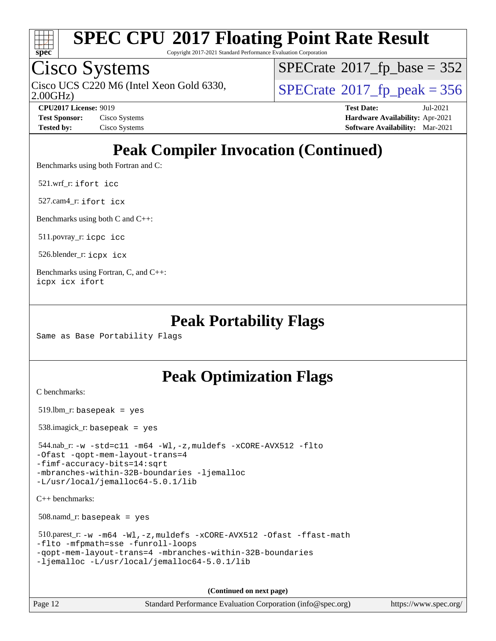

Copyright 2017-2021 Standard Performance Evaluation Corporation

## Cisco Systems

2.00GHz) Cisco UCS C220 M6 (Intel Xeon Gold 6330,  $SPECrate@2017_fp\_peak = 356$  $SPECrate@2017_fp\_peak = 356$ 

 $SPECTate$ <sup>®</sup>[2017\\_fp\\_base =](http://www.spec.org/auto/cpu2017/Docs/result-fields.html#SPECrate2017fpbase) 352

**[CPU2017 License:](http://www.spec.org/auto/cpu2017/Docs/result-fields.html#CPU2017License)** 9019 **[Test Date:](http://www.spec.org/auto/cpu2017/Docs/result-fields.html#TestDate)** Jul-2021 **[Test Sponsor:](http://www.spec.org/auto/cpu2017/Docs/result-fields.html#TestSponsor)** Cisco Systems **[Hardware Availability:](http://www.spec.org/auto/cpu2017/Docs/result-fields.html#HardwareAvailability)** Apr-2021 **[Tested by:](http://www.spec.org/auto/cpu2017/Docs/result-fields.html#Testedby)** Cisco Systems **[Software Availability:](http://www.spec.org/auto/cpu2017/Docs/result-fields.html#SoftwareAvailability)** Mar-2021

### **[Peak Compiler Invocation \(Continued\)](http://www.spec.org/auto/cpu2017/Docs/result-fields.html#PeakCompilerInvocation)**

[Benchmarks using both Fortran and C](http://www.spec.org/auto/cpu2017/Docs/result-fields.html#BenchmarksusingbothFortranandC):

521.wrf\_r: [ifort](http://www.spec.org/cpu2017/results/res2021q3/cpu2017-20210720-28361.flags.html#user_peakFCLD521_wrf_r_intel_ifort_8111460550e3ca792625aed983ce982f94888b8b503583aa7ba2b8303487b4d8a21a13e7191a45c5fd58ff318f48f9492884d4413fa793fd88dd292cad7027ca) [icc](http://www.spec.org/cpu2017/results/res2021q3/cpu2017-20210720-28361.flags.html#user_peakCC521_wrf_r_intel_icc_66fc1ee009f7361af1fbd72ca7dcefbb700085f36577c54f309893dd4ec40d12360134090235512931783d35fd58c0460139e722d5067c5574d8eaf2b3e37e92)

527.cam4\_r: [ifort](http://www.spec.org/cpu2017/results/res2021q3/cpu2017-20210720-28361.flags.html#user_peakFCLD527_cam4_r_intel_ifort_8111460550e3ca792625aed983ce982f94888b8b503583aa7ba2b8303487b4d8a21a13e7191a45c5fd58ff318f48f9492884d4413fa793fd88dd292cad7027ca) [icx](http://www.spec.org/cpu2017/results/res2021q3/cpu2017-20210720-28361.flags.html#user_peakCC527_cam4_r_intel_icx_fe2d28d19ae2a5db7c42fe0f2a2aed77cb715edd4aeb23434404a8be6683fe239869bb6ca8154ca98265c2e3b9226a719a0efe2953a4a7018c379b7010ccf087)

[Benchmarks using both C and C++](http://www.spec.org/auto/cpu2017/Docs/result-fields.html#BenchmarksusingbothCandCXX):

511.povray\_r: [icpc](http://www.spec.org/cpu2017/results/res2021q3/cpu2017-20210720-28361.flags.html#user_peakCXXLD511_povray_r_intel_icpc_c510b6838c7f56d33e37e94d029a35b4a7bccf4766a728ee175e80a419847e808290a9b78be685c44ab727ea267ec2f070ec5dc83b407c0218cded6866a35d07) [icc](http://www.spec.org/cpu2017/results/res2021q3/cpu2017-20210720-28361.flags.html#user_peakCC511_povray_r_intel_icc_66fc1ee009f7361af1fbd72ca7dcefbb700085f36577c54f309893dd4ec40d12360134090235512931783d35fd58c0460139e722d5067c5574d8eaf2b3e37e92)

526.blender\_r: [icpx](http://www.spec.org/cpu2017/results/res2021q3/cpu2017-20210720-28361.flags.html#user_peakCXXLD526_blender_r_intel_icpx_1e918ed14c436bf4b9b7c8bcdd51d4539fc71b3df010bd1e9f8732d9c34c2b2914e48204a846820f3c0ebb4095dea797a5c30b458ac0b6dffac65d78f781f5ca) [icx](http://www.spec.org/cpu2017/results/res2021q3/cpu2017-20210720-28361.flags.html#user_peakCC526_blender_r_intel_icx_fe2d28d19ae2a5db7c42fe0f2a2aed77cb715edd4aeb23434404a8be6683fe239869bb6ca8154ca98265c2e3b9226a719a0efe2953a4a7018c379b7010ccf087)

[Benchmarks using Fortran, C, and C++:](http://www.spec.org/auto/cpu2017/Docs/result-fields.html#BenchmarksusingFortranCandCXX) [icpx](http://www.spec.org/cpu2017/results/res2021q3/cpu2017-20210720-28361.flags.html#user_CC_CXX_FCpeak_intel_icpx_1e918ed14c436bf4b9b7c8bcdd51d4539fc71b3df010bd1e9f8732d9c34c2b2914e48204a846820f3c0ebb4095dea797a5c30b458ac0b6dffac65d78f781f5ca) [icx](http://www.spec.org/cpu2017/results/res2021q3/cpu2017-20210720-28361.flags.html#user_CC_CXX_FCpeak_intel_icx_fe2d28d19ae2a5db7c42fe0f2a2aed77cb715edd4aeb23434404a8be6683fe239869bb6ca8154ca98265c2e3b9226a719a0efe2953a4a7018c379b7010ccf087) [ifort](http://www.spec.org/cpu2017/results/res2021q3/cpu2017-20210720-28361.flags.html#user_CC_CXX_FCpeak_intel_ifort_8111460550e3ca792625aed983ce982f94888b8b503583aa7ba2b8303487b4d8a21a13e7191a45c5fd58ff318f48f9492884d4413fa793fd88dd292cad7027ca)

### **[Peak Portability Flags](http://www.spec.org/auto/cpu2017/Docs/result-fields.html#PeakPortabilityFlags)**

Same as Base Portability Flags

### **[Peak Optimization Flags](http://www.spec.org/auto/cpu2017/Docs/result-fields.html#PeakOptimizationFlags)**

[C benchmarks](http://www.spec.org/auto/cpu2017/Docs/result-fields.html#Cbenchmarks):

519.lbm\_r: basepeak = yes

538.imagick\_r: basepeak = yes

 544.nab\_r: [-w](http://www.spec.org/cpu2017/results/res2021q3/cpu2017-20210720-28361.flags.html#user_peakCCLD544_nab_r_supress_warning_66fb2c4e5c1dd10f38bdd29623979399e5ae75ae6e5453792d82ef66afed381df4a8602f92cac8d2ea0fffa7b93b4b1ccb9ecad4af01c9b2fe338b2082ae3859) [-std=c11](http://www.spec.org/cpu2017/results/res2021q3/cpu2017-20210720-28361.flags.html#user_peakCCLD544_nab_r_std-icc-std_0e1c27790398a4642dfca32ffe6c27b5796f9c2d2676156f2e42c9c44eaad0c049b1cdb667a270c34d979996257aeb8fc440bfb01818dbc9357bd9d174cb8524) [-m64](http://www.spec.org/cpu2017/results/res2021q3/cpu2017-20210720-28361.flags.html#user_peakCCLD544_nab_r_m64-icc) [-Wl,-z,muldefs](http://www.spec.org/cpu2017/results/res2021q3/cpu2017-20210720-28361.flags.html#user_peakEXTRA_LDFLAGS544_nab_r_link_force_multiple1_b4cbdb97b34bdee9ceefcfe54f4c8ea74255f0b02a4b23e853cdb0e18eb4525ac79b5a88067c842dd0ee6996c24547a27a4b99331201badda8798ef8a743f577) [-xCORE-AVX512](http://www.spec.org/cpu2017/results/res2021q3/cpu2017-20210720-28361.flags.html#user_peakCOPTIMIZE544_nab_r_f-xCORE-AVX512) [-flto](http://www.spec.org/cpu2017/results/res2021q3/cpu2017-20210720-28361.flags.html#user_peakCOPTIMIZE544_nab_r_f-flto) [-Ofast](http://www.spec.org/cpu2017/results/res2021q3/cpu2017-20210720-28361.flags.html#user_peakCOPTIMIZE544_nab_r_f-Ofast) [-qopt-mem-layout-trans=4](http://www.spec.org/cpu2017/results/res2021q3/cpu2017-20210720-28361.flags.html#user_peakCOPTIMIZE544_nab_r_f-qopt-mem-layout-trans_fa39e755916c150a61361b7846f310bcdf6f04e385ef281cadf3647acec3f0ae266d1a1d22d972a7087a248fd4e6ca390a3634700869573d231a252c784941a8) [-fimf-accuracy-bits=14:sqrt](http://www.spec.org/cpu2017/results/res2021q3/cpu2017-20210720-28361.flags.html#user_peakEXTRA_OPTIMIZE544_nab_r_f-imf-accuracy-bits_dec3764af0c61f52590ca8f859bc2b38948cb3a9f4bd45f959a8dd6743142ff5c0d5c89fdfba8d7c6d41a5122d7dc4d32797a5effd20a981baa30839b7373d7d)

[-mbranches-within-32B-boundaries](http://www.spec.org/cpu2017/results/res2021q3/cpu2017-20210720-28361.flags.html#user_peakEXTRA_COPTIMIZE544_nab_r_f-mbranches-within-32B-boundaries) [-ljemalloc](http://www.spec.org/cpu2017/results/res2021q3/cpu2017-20210720-28361.flags.html#user_peakEXTRA_LIBS544_nab_r_jemalloc_link_lib_d1249b907c500fa1c0672f44f562e3d0f79738ae9e3c4a9c376d49f265a04b9c99b167ecedbf6711b3085be911c67ff61f150a17b3472be731631ba4d0471706) [-L/usr/local/jemalloc64-5.0.1/lib](http://www.spec.org/cpu2017/results/res2021q3/cpu2017-20210720-28361.flags.html#user_peakEXTRA_LIBS544_nab_r_jemalloc_link_path64_1_cc289568b1a6c0fd3b62c91b824c27fcb5af5e8098e6ad028160d21144ef1b8aef3170d2acf0bee98a8da324cfe4f67d0a3d0c4cc4673d993d694dc2a0df248b)

[C++ benchmarks:](http://www.spec.org/auto/cpu2017/Docs/result-fields.html#CXXbenchmarks)

508.namd\_r: basepeak = yes

 510.parest\_r: [-w](http://www.spec.org/cpu2017/results/res2021q3/cpu2017-20210720-28361.flags.html#user_peakCXXLD510_parest_r_supress_warning_66fb2c4e5c1dd10f38bdd29623979399e5ae75ae6e5453792d82ef66afed381df4a8602f92cac8d2ea0fffa7b93b4b1ccb9ecad4af01c9b2fe338b2082ae3859) [-m64](http://www.spec.org/cpu2017/results/res2021q3/cpu2017-20210720-28361.flags.html#user_peakCXXLD510_parest_r_m64-icc) [-Wl,-z,muldefs](http://www.spec.org/cpu2017/results/res2021q3/cpu2017-20210720-28361.flags.html#user_peakEXTRA_LDFLAGS510_parest_r_link_force_multiple1_b4cbdb97b34bdee9ceefcfe54f4c8ea74255f0b02a4b23e853cdb0e18eb4525ac79b5a88067c842dd0ee6996c24547a27a4b99331201badda8798ef8a743f577) [-xCORE-AVX512](http://www.spec.org/cpu2017/results/res2021q3/cpu2017-20210720-28361.flags.html#user_peakCXXOPTIMIZE510_parest_r_f-xCORE-AVX512) [-Ofast](http://www.spec.org/cpu2017/results/res2021q3/cpu2017-20210720-28361.flags.html#user_peakCXXOPTIMIZE510_parest_r_f-Ofast) [-ffast-math](http://www.spec.org/cpu2017/results/res2021q3/cpu2017-20210720-28361.flags.html#user_peakCXXOPTIMIZE510_parest_r_f-ffast-math) [-flto](http://www.spec.org/cpu2017/results/res2021q3/cpu2017-20210720-28361.flags.html#user_peakCXXOPTIMIZE510_parest_r_f-flto) [-mfpmath=sse](http://www.spec.org/cpu2017/results/res2021q3/cpu2017-20210720-28361.flags.html#user_peakCXXOPTIMIZE510_parest_r_f-mfpmath_70eb8fac26bde974f8ab713bc9086c5621c0b8d2f6c86f38af0bd7062540daf19db5f3a066d8c6684be05d84c9b6322eb3b5be6619d967835195b93d6c02afa1) [-funroll-loops](http://www.spec.org/cpu2017/results/res2021q3/cpu2017-20210720-28361.flags.html#user_peakCXXOPTIMIZE510_parest_r_f-funroll-loops) [-qopt-mem-layout-trans=4](http://www.spec.org/cpu2017/results/res2021q3/cpu2017-20210720-28361.flags.html#user_peakCXXOPTIMIZE510_parest_r_f-qopt-mem-layout-trans_fa39e755916c150a61361b7846f310bcdf6f04e385ef281cadf3647acec3f0ae266d1a1d22d972a7087a248fd4e6ca390a3634700869573d231a252c784941a8) [-mbranches-within-32B-boundaries](http://www.spec.org/cpu2017/results/res2021q3/cpu2017-20210720-28361.flags.html#user_peakEXTRA_CXXOPTIMIZE510_parest_r_f-mbranches-within-32B-boundaries) [-ljemalloc](http://www.spec.org/cpu2017/results/res2021q3/cpu2017-20210720-28361.flags.html#user_peakEXTRA_LIBS510_parest_r_jemalloc_link_lib_d1249b907c500fa1c0672f44f562e3d0f79738ae9e3c4a9c376d49f265a04b9c99b167ecedbf6711b3085be911c67ff61f150a17b3472be731631ba4d0471706) [-L/usr/local/jemalloc64-5.0.1/lib](http://www.spec.org/cpu2017/results/res2021q3/cpu2017-20210720-28361.flags.html#user_peakEXTRA_LIBS510_parest_r_jemalloc_link_path64_1_cc289568b1a6c0fd3b62c91b824c27fcb5af5e8098e6ad028160d21144ef1b8aef3170d2acf0bee98a8da324cfe4f67d0a3d0c4cc4673d993d694dc2a0df248b)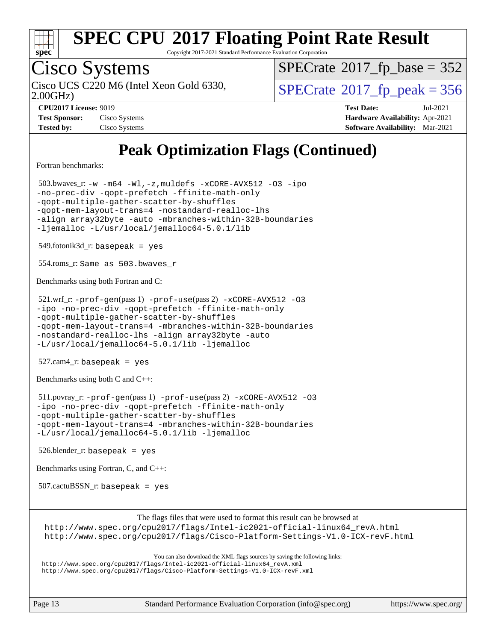

Copyright 2017-2021 Standard Performance Evaluation Corporation

## Cisco Systems

2.00GHz)

 $SPECTate$ <sup>®</sup>[2017\\_fp\\_base =](http://www.spec.org/auto/cpu2017/Docs/result-fields.html#SPECrate2017fpbase) 352

Cisco UCS C220 M6 (Intel Xeon Gold 6330,  $SPECrate@2017_fp\_peak = 356$  $SPECrate@2017_fp\_peak = 356$ 

**[Test Sponsor:](http://www.spec.org/auto/cpu2017/Docs/result-fields.html#TestSponsor)** Cisco Systems **[Hardware Availability:](http://www.spec.org/auto/cpu2017/Docs/result-fields.html#HardwareAvailability)** Apr-2021 **[Tested by:](http://www.spec.org/auto/cpu2017/Docs/result-fields.html#Testedby)** Cisco Systems **[Software Availability:](http://www.spec.org/auto/cpu2017/Docs/result-fields.html#SoftwareAvailability)** Mar-2021

**[CPU2017 License:](http://www.spec.org/auto/cpu2017/Docs/result-fields.html#CPU2017License)** 9019 **[Test Date:](http://www.spec.org/auto/cpu2017/Docs/result-fields.html#TestDate)** Jul-2021

### **[Peak Optimization Flags \(Continued\)](http://www.spec.org/auto/cpu2017/Docs/result-fields.html#PeakOptimizationFlags)**

[Fortran benchmarks](http://www.spec.org/auto/cpu2017/Docs/result-fields.html#Fortranbenchmarks):

 503.bwaves\_r: [-w](http://www.spec.org/cpu2017/results/res2021q3/cpu2017-20210720-28361.flags.html#user_peakFCLD503_bwaves_r_supress_warning_66fb2c4e5c1dd10f38bdd29623979399e5ae75ae6e5453792d82ef66afed381df4a8602f92cac8d2ea0fffa7b93b4b1ccb9ecad4af01c9b2fe338b2082ae3859) [-m64](http://www.spec.org/cpu2017/results/res2021q3/cpu2017-20210720-28361.flags.html#user_peakFCLD503_bwaves_r_m64-icc) [-Wl,-z,muldefs](http://www.spec.org/cpu2017/results/res2021q3/cpu2017-20210720-28361.flags.html#user_peakEXTRA_LDFLAGS503_bwaves_r_link_force_multiple1_b4cbdb97b34bdee9ceefcfe54f4c8ea74255f0b02a4b23e853cdb0e18eb4525ac79b5a88067c842dd0ee6996c24547a27a4b99331201badda8798ef8a743f577) [-xCORE-AVX512](http://www.spec.org/cpu2017/results/res2021q3/cpu2017-20210720-28361.flags.html#user_peakFOPTIMIZE503_bwaves_r_f-xCORE-AVX512) [-O3](http://www.spec.org/cpu2017/results/res2021q3/cpu2017-20210720-28361.flags.html#user_peakFOPTIMIZE503_bwaves_r_f-O3) [-ipo](http://www.spec.org/cpu2017/results/res2021q3/cpu2017-20210720-28361.flags.html#user_peakFOPTIMIZE503_bwaves_r_f-ipo) [-no-prec-div](http://www.spec.org/cpu2017/results/res2021q3/cpu2017-20210720-28361.flags.html#user_peakFOPTIMIZE503_bwaves_r_f-no-prec-div) [-qopt-prefetch](http://www.spec.org/cpu2017/results/res2021q3/cpu2017-20210720-28361.flags.html#user_peakFOPTIMIZE503_bwaves_r_f-qopt-prefetch) [-ffinite-math-only](http://www.spec.org/cpu2017/results/res2021q3/cpu2017-20210720-28361.flags.html#user_peakFOPTIMIZE503_bwaves_r_f_finite_math_only_cb91587bd2077682c4b38af759c288ed7c732db004271a9512da14a4f8007909a5f1427ecbf1a0fb78ff2a814402c6114ac565ca162485bbcae155b5e4258871) [-qopt-multiple-gather-scatter-by-shuffles](http://www.spec.org/cpu2017/results/res2021q3/cpu2017-20210720-28361.flags.html#user_peakFOPTIMIZE503_bwaves_r_f-qopt-multiple-gather-scatter-by-shuffles) [-qopt-mem-layout-trans=4](http://www.spec.org/cpu2017/results/res2021q3/cpu2017-20210720-28361.flags.html#user_peakFOPTIMIZE503_bwaves_r_f-qopt-mem-layout-trans_fa39e755916c150a61361b7846f310bcdf6f04e385ef281cadf3647acec3f0ae266d1a1d22d972a7087a248fd4e6ca390a3634700869573d231a252c784941a8) [-nostandard-realloc-lhs](http://www.spec.org/cpu2017/results/res2021q3/cpu2017-20210720-28361.flags.html#user_peakEXTRA_FOPTIMIZE503_bwaves_r_f_2003_std_realloc_82b4557e90729c0f113870c07e44d33d6f5a304b4f63d4c15d2d0f1fab99f5daaed73bdb9275d9ae411527f28b936061aa8b9c8f2d63842963b95c9dd6426b8a) [-align array32byte](http://www.spec.org/cpu2017/results/res2021q3/cpu2017-20210720-28361.flags.html#user_peakEXTRA_FOPTIMIZE503_bwaves_r_align_array32byte_b982fe038af199962ba9a80c053b8342c548c85b40b8e86eb3cc33dee0d7986a4af373ac2d51c3f7cf710a18d62fdce2948f201cd044323541f22fc0fffc51b6) [-auto](http://www.spec.org/cpu2017/results/res2021q3/cpu2017-20210720-28361.flags.html#user_peakEXTRA_FOPTIMIZE503_bwaves_r_f-auto) [-mbranches-within-32B-boundaries](http://www.spec.org/cpu2017/results/res2021q3/cpu2017-20210720-28361.flags.html#user_peakEXTRA_FOPTIMIZE503_bwaves_r_f-mbranches-within-32B-boundaries) [-ljemalloc](http://www.spec.org/cpu2017/results/res2021q3/cpu2017-20210720-28361.flags.html#user_peakEXTRA_LIBS503_bwaves_r_jemalloc_link_lib_d1249b907c500fa1c0672f44f562e3d0f79738ae9e3c4a9c376d49f265a04b9c99b167ecedbf6711b3085be911c67ff61f150a17b3472be731631ba4d0471706) [-L/usr/local/jemalloc64-5.0.1/lib](http://www.spec.org/cpu2017/results/res2021q3/cpu2017-20210720-28361.flags.html#user_peakEXTRA_LIBS503_bwaves_r_jemalloc_link_path64_1_cc289568b1a6c0fd3b62c91b824c27fcb5af5e8098e6ad028160d21144ef1b8aef3170d2acf0bee98a8da324cfe4f67d0a3d0c4cc4673d993d694dc2a0df248b)  $549.$ fotonik $3d$ <sub>-</sub> $r:$  basepeak = yes 554.roms\_r: Same as 503.bwaves\_r [Benchmarks using both Fortran and C](http://www.spec.org/auto/cpu2017/Docs/result-fields.html#BenchmarksusingbothFortranandC): 521.wrf\_r: [-prof-gen](http://www.spec.org/cpu2017/results/res2021q3/cpu2017-20210720-28361.flags.html#user_peakPASS1_CFLAGSPASS1_FFLAGSPASS1_LDFLAGS521_wrf_r_prof_gen_5aa4926d6013ddb2a31985c654b3eb18169fc0c6952a63635c234f711e6e63dd76e94ad52365559451ec499a2cdb89e4dc58ba4c67ef54ca681ffbe1461d6b36)(pass 1) [-prof-use](http://www.spec.org/cpu2017/results/res2021q3/cpu2017-20210720-28361.flags.html#user_peakPASS2_CFLAGSPASS2_FFLAGSPASS2_LDFLAGS521_wrf_r_prof_use_1a21ceae95f36a2b53c25747139a6c16ca95bd9def2a207b4f0849963b97e94f5260e30a0c64f4bb623698870e679ca08317ef8150905d41bd88c6f78df73f19)(pass 2) [-xCORE-AVX512](http://www.spec.org/cpu2017/results/res2021q3/cpu2017-20210720-28361.flags.html#user_peakCOPTIMIZE521_wrf_r_f-xCORE-AVX512) [-O3](http://www.spec.org/cpu2017/results/res2021q3/cpu2017-20210720-28361.flags.html#user_peakCOPTIMIZE521_wrf_r_f-O3) [-ipo](http://www.spec.org/cpu2017/results/res2021q3/cpu2017-20210720-28361.flags.html#user_peakCOPTIMIZE521_wrf_r_f-ipo) [-no-prec-div](http://www.spec.org/cpu2017/results/res2021q3/cpu2017-20210720-28361.flags.html#user_peakCOPTIMIZE521_wrf_r_f-no-prec-div) [-qopt-prefetch](http://www.spec.org/cpu2017/results/res2021q3/cpu2017-20210720-28361.flags.html#user_peakCOPTIMIZE521_wrf_r_f-qopt-prefetch) [-ffinite-math-only](http://www.spec.org/cpu2017/results/res2021q3/cpu2017-20210720-28361.flags.html#user_peakCOPTIMIZE521_wrf_r_f_finite_math_only_cb91587bd2077682c4b38af759c288ed7c732db004271a9512da14a4f8007909a5f1427ecbf1a0fb78ff2a814402c6114ac565ca162485bbcae155b5e4258871) [-qopt-multiple-gather-scatter-by-shuffles](http://www.spec.org/cpu2017/results/res2021q3/cpu2017-20210720-28361.flags.html#user_peakCOPTIMIZE521_wrf_r_f-qopt-multiple-gather-scatter-by-shuffles) [-qopt-mem-layout-trans=4](http://www.spec.org/cpu2017/results/res2021q3/cpu2017-20210720-28361.flags.html#user_peakCOPTIMIZE521_wrf_r_f-qopt-mem-layout-trans_fa39e755916c150a61361b7846f310bcdf6f04e385ef281cadf3647acec3f0ae266d1a1d22d972a7087a248fd4e6ca390a3634700869573d231a252c784941a8) [-mbranches-within-32B-boundaries](http://www.spec.org/cpu2017/results/res2021q3/cpu2017-20210720-28361.flags.html#user_peakEXTRA_COPTIMIZEEXTRA_FOPTIMIZE521_wrf_r_f-mbranches-within-32B-boundaries) [-nostandard-realloc-lhs](http://www.spec.org/cpu2017/results/res2021q3/cpu2017-20210720-28361.flags.html#user_peakEXTRA_FOPTIMIZE521_wrf_r_f_2003_std_realloc_82b4557e90729c0f113870c07e44d33d6f5a304b4f63d4c15d2d0f1fab99f5daaed73bdb9275d9ae411527f28b936061aa8b9c8f2d63842963b95c9dd6426b8a) [-align array32byte](http://www.spec.org/cpu2017/results/res2021q3/cpu2017-20210720-28361.flags.html#user_peakEXTRA_FOPTIMIZE521_wrf_r_align_array32byte_b982fe038af199962ba9a80c053b8342c548c85b40b8e86eb3cc33dee0d7986a4af373ac2d51c3f7cf710a18d62fdce2948f201cd044323541f22fc0fffc51b6) [-auto](http://www.spec.org/cpu2017/results/res2021q3/cpu2017-20210720-28361.flags.html#user_peakEXTRA_FOPTIMIZE521_wrf_r_f-auto) [-L/usr/local/jemalloc64-5.0.1/lib](http://www.spec.org/cpu2017/results/res2021q3/cpu2017-20210720-28361.flags.html#user_peakEXTRA_LIBS521_wrf_r_jemalloc_link_path64_1_cc289568b1a6c0fd3b62c91b824c27fcb5af5e8098e6ad028160d21144ef1b8aef3170d2acf0bee98a8da324cfe4f67d0a3d0c4cc4673d993d694dc2a0df248b) [-ljemalloc](http://www.spec.org/cpu2017/results/res2021q3/cpu2017-20210720-28361.flags.html#user_peakEXTRA_LIBS521_wrf_r_jemalloc_link_lib_d1249b907c500fa1c0672f44f562e3d0f79738ae9e3c4a9c376d49f265a04b9c99b167ecedbf6711b3085be911c67ff61f150a17b3472be731631ba4d0471706) 527.cam4\_r: basepeak = yes [Benchmarks using both C and C++](http://www.spec.org/auto/cpu2017/Docs/result-fields.html#BenchmarksusingbothCandCXX): 511.povray\_r: [-prof-gen](http://www.spec.org/cpu2017/results/res2021q3/cpu2017-20210720-28361.flags.html#user_peakPASS1_CFLAGSPASS1_CXXFLAGSPASS1_LDFLAGS511_povray_r_prof_gen_5aa4926d6013ddb2a31985c654b3eb18169fc0c6952a63635c234f711e6e63dd76e94ad52365559451ec499a2cdb89e4dc58ba4c67ef54ca681ffbe1461d6b36)(pass 1) [-prof-use](http://www.spec.org/cpu2017/results/res2021q3/cpu2017-20210720-28361.flags.html#user_peakPASS2_CFLAGSPASS2_CXXFLAGSPASS2_LDFLAGS511_povray_r_prof_use_1a21ceae95f36a2b53c25747139a6c16ca95bd9def2a207b4f0849963b97e94f5260e30a0c64f4bb623698870e679ca08317ef8150905d41bd88c6f78df73f19)(pass 2) [-xCORE-AVX512](http://www.spec.org/cpu2017/results/res2021q3/cpu2017-20210720-28361.flags.html#user_peakCOPTIMIZECXXOPTIMIZE511_povray_r_f-xCORE-AVX512) [-O3](http://www.spec.org/cpu2017/results/res2021q3/cpu2017-20210720-28361.flags.html#user_peakCOPTIMIZECXXOPTIMIZE511_povray_r_f-O3) [-ipo](http://www.spec.org/cpu2017/results/res2021q3/cpu2017-20210720-28361.flags.html#user_peakCOPTIMIZECXXOPTIMIZE511_povray_r_f-ipo) [-no-prec-div](http://www.spec.org/cpu2017/results/res2021q3/cpu2017-20210720-28361.flags.html#user_peakCOPTIMIZECXXOPTIMIZE511_povray_r_f-no-prec-div) [-qopt-prefetch](http://www.spec.org/cpu2017/results/res2021q3/cpu2017-20210720-28361.flags.html#user_peakCOPTIMIZECXXOPTIMIZE511_povray_r_f-qopt-prefetch) [-ffinite-math-only](http://www.spec.org/cpu2017/results/res2021q3/cpu2017-20210720-28361.flags.html#user_peakCOPTIMIZECXXOPTIMIZE511_povray_r_f_finite_math_only_cb91587bd2077682c4b38af759c288ed7c732db004271a9512da14a4f8007909a5f1427ecbf1a0fb78ff2a814402c6114ac565ca162485bbcae155b5e4258871) [-qopt-multiple-gather-scatter-by-shuffles](http://www.spec.org/cpu2017/results/res2021q3/cpu2017-20210720-28361.flags.html#user_peakCOPTIMIZECXXOPTIMIZE511_povray_r_f-qopt-multiple-gather-scatter-by-shuffles) [-qopt-mem-layout-trans=4](http://www.spec.org/cpu2017/results/res2021q3/cpu2017-20210720-28361.flags.html#user_peakCOPTIMIZECXXOPTIMIZE511_povray_r_f-qopt-mem-layout-trans_fa39e755916c150a61361b7846f310bcdf6f04e385ef281cadf3647acec3f0ae266d1a1d22d972a7087a248fd4e6ca390a3634700869573d231a252c784941a8) [-mbranches-within-32B-boundaries](http://www.spec.org/cpu2017/results/res2021q3/cpu2017-20210720-28361.flags.html#user_peakEXTRA_COPTIMIZEEXTRA_CXXOPTIMIZE511_povray_r_f-mbranches-within-32B-boundaries) [-L/usr/local/jemalloc64-5.0.1/lib](http://www.spec.org/cpu2017/results/res2021q3/cpu2017-20210720-28361.flags.html#user_peakEXTRA_LIBS511_povray_r_jemalloc_link_path64_1_cc289568b1a6c0fd3b62c91b824c27fcb5af5e8098e6ad028160d21144ef1b8aef3170d2acf0bee98a8da324cfe4f67d0a3d0c4cc4673d993d694dc2a0df248b) [-ljemalloc](http://www.spec.org/cpu2017/results/res2021q3/cpu2017-20210720-28361.flags.html#user_peakEXTRA_LIBS511_povray_r_jemalloc_link_lib_d1249b907c500fa1c0672f44f562e3d0f79738ae9e3c4a9c376d49f265a04b9c99b167ecedbf6711b3085be911c67ff61f150a17b3472be731631ba4d0471706)  $526.$ blender\_r: basepeak = yes [Benchmarks using Fortran, C, and C++:](http://www.spec.org/auto/cpu2017/Docs/result-fields.html#BenchmarksusingFortranCandCXX) 507.cactuBSSN\_r: basepeak = yes

[The flags files that were used to format this result can be browsed at](tmsearch)

[http://www.spec.org/cpu2017/flags/Intel-ic2021-official-linux64\\_revA.html](http://www.spec.org/cpu2017/flags/Intel-ic2021-official-linux64_revA.html) <http://www.spec.org/cpu2017/flags/Cisco-Platform-Settings-V1.0-ICX-revF.html>

[You can also download the XML flags sources by saving the following links:](tmsearch)

[http://www.spec.org/cpu2017/flags/Intel-ic2021-official-linux64\\_revA.xml](http://www.spec.org/cpu2017/flags/Intel-ic2021-official-linux64_revA.xml) <http://www.spec.org/cpu2017/flags/Cisco-Platform-Settings-V1.0-ICX-revF.xml>